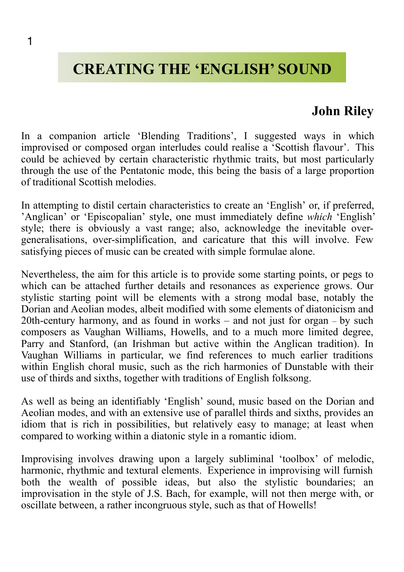# **CREATING THE 'ENGLISH' SOUND**

## **John Riley**

In a companion article 'Blending Traditions', I suggested ways in which improvised or composed organ interludes could realise a 'Scottish flavour'. This could be achieved by certain characteristic rhythmic traits, but most particularly through the use of the Pentatonic mode, this being the basis of a large proportion of traditional Scottish melodies.

In attempting to distil certain characteristics to create an 'English' or, if preferred, 'Anglican' or 'Episcopalian' style, one must immediately define *which* 'English' style; there is obviously a vast range; also, acknowledge the inevitable overgeneralisations, over-simplification, and caricature that this will involve. Few satisfying pieces of music can be created with simple formulae alone.

Nevertheless, the aim for this article is to provide some starting points, or pegs to which can be attached further details and resonances as experience grows. Our stylistic starting point will be elements with a strong modal base, notably the Dorian and Aeolian modes, albeit modified with some elements of diatonicism and 20th-century harmony, and as found in works – and not just for organ – by such composers as Vaughan Williams, Howells, and to a much more limited degree, Parry and Stanford, (an Irishman but active within the Anglican tradition). In Vaughan Williams in particular, we find references to much earlier traditions within English choral music, such as the rich harmonies of Dunstable with their use of thirds and sixths, together with traditions of English folksong.

As well as being an identifiably 'English' sound, music based on the Dorian and Aeolian modes, and with an extensive use of parallel thirds and sixths, provides an idiom that is rich in possibilities, but relatively easy to manage; at least when compared to working within a diatonic style in a romantic idiom.

Improvising involves drawing upon a largely subliminal 'toolbox' of melodic, harmonic, rhythmic and textural elements. Experience in improvising will furnish both the wealth of possible ideas, but also the stylistic boundaries; an improvisation in the style of J.S. Bach, for example, will not then merge with, or oscillate between, a rather incongruous style, such as that of Howells!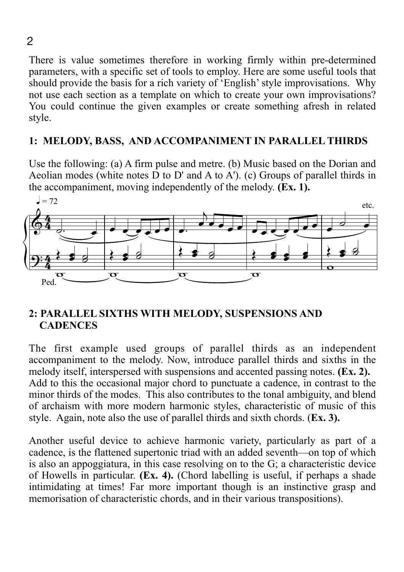There is value sometimes therefore in working firmly within pre-determined parameters, with a specific set of tools to employ. Here are some useful tools that should provide the basis for a rich variety of 'English' style improvisations. Why not use each section as a template on which to create your own improvisations? You could continue the given examples or create something afresh in related style.

#### **1: MELODY, BASS, AND ACCOMPANIMENT IN PARALLEL THIRDS**

Use the following: (a) A firm pulse and metre. (b) Music based on the Dorian and Aeolian modes (white notes  $\overline{D}$  to  $D'$  and A to  $\overline{A'}$ ). (c) Groups of parallel thirds in the accompaniment, moving independently of the melody. **(Ex. 1).**



#### **2: PARALLEL SIXTHS WITH MELODY, SUSPENSIONS AND CADENCES**

The first example used groups of parallel thirds as an independent accompaniment to the melody. Now, introduce parallel thirds and sixths in the melody itself, interspersed with suspensions and accented passing notes. **(Ex. 2).** Add to this the occasional major chord to punctuate a cadence, in contrast to the minor thirds of the modes. This also contributes to the tonal ambiguity, and blend of archaism with more modern harmonic styles, characteristic of music of this style. Again, note also the use of parallel thirds and sixth chords. (**Ex. 3).**

Another useful device to achieve harmonic variety, particularly as part of a cadence, is the flattened supertonic triad with an added seventh—on top of which is also an appoggiatura, in this case resolving on to the G; a characteristic device of Howells in particular. **(Ex. 4).** (Chord labelling is useful, if perhaps a shade intimidating at times! Far more important though is an instinctive grasp and memorisation of characteristic chords, and in their various transpositions).

2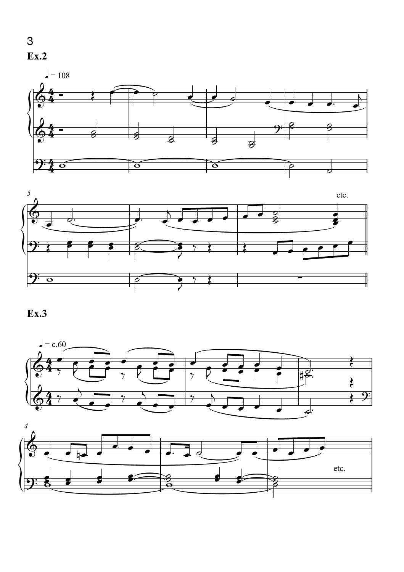





#### **Ex.3**



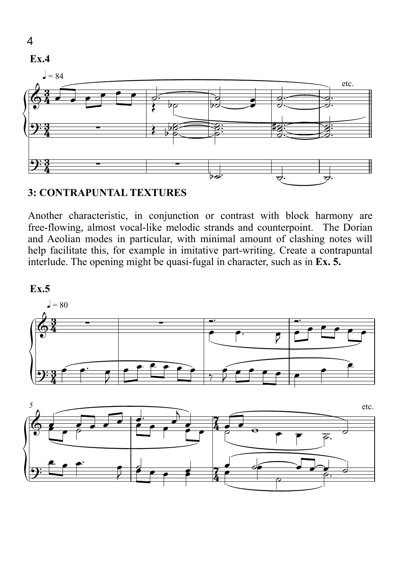

#### **3: CONTRAPUNTAL TEXTURES**

Another characteristic, in conjunction or contrast with block harmony are free-flowing, almost vocal-like melodic strands and counterpoint. The Dorian and Aeolian modes in particular, with minimal amount of clashing notes will help facilitate this, for example in imitative part-writing. Create a contrapuntal interlude. The opening might be quasi-fugal in character, such as in **Ex. 5.** 



4

**Ex.4**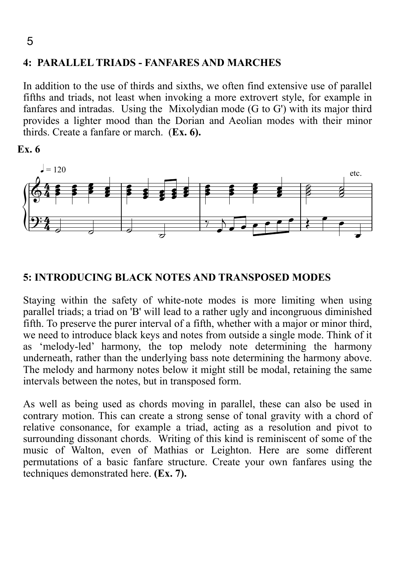# ${A}$ ່ວ<br>4: PARALLEL TRIADS - FANFARES AND MARCHES

In addition to the use of thirds and sixths, we often find extensive use of parallel fifths and triads, not least when invoking a more extrovert style, for example in fanfares and intradas. Using the Mixolydian mode (G to G') with its major third provides a lighter mood than the Dorian and Aeolian modes with their minor thirds. Create a fanfare or march. (**Ex. 6).**

**Ex. 6**



#### **5: INTRODUCING BLACK NOTES AND TRANSPOSED MODES**

Staying within the safety of white-note modes is more limiting when using parallel triads; a triad on 'B' will lead to a rather ugly and incongruous diminished fifth. To preserve the purer interval of a fifth, whether with a major or minor third, we need to introduce black keys and notes from outside a single mode. Think of it as 'melody-led' harmony, the top melody note determining the harmony underneath, rather than the underlying bass note determining the harmony above. The melody and harmony notes below it might still be modal, retaining the same intervals between the notes, but in transposed form.

As well as being used as chords moving in parallel, these can also be used in contrary motion. This can create a strong sense of tonal gravity with a chord of relative consonance, for example a triad, acting as a resolution and pivot to surrounding dissonant chords. Writing of this kind is reminiscent of some of the music of Walton, even of Mathias or Leighton. Here are some different permutations of a basic fanfare structure. Create your own fanfares using the techniques demonstrated here. **(Ex. 7).**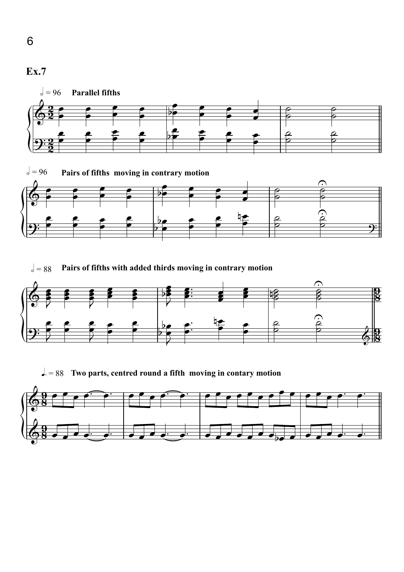

 $\sqrt{ }$  = 88 Pairs of fifths with added thirds moving in contrary motion



 $\Box$  = 88 Two parts, centred round a fifth moving in contary motion



6